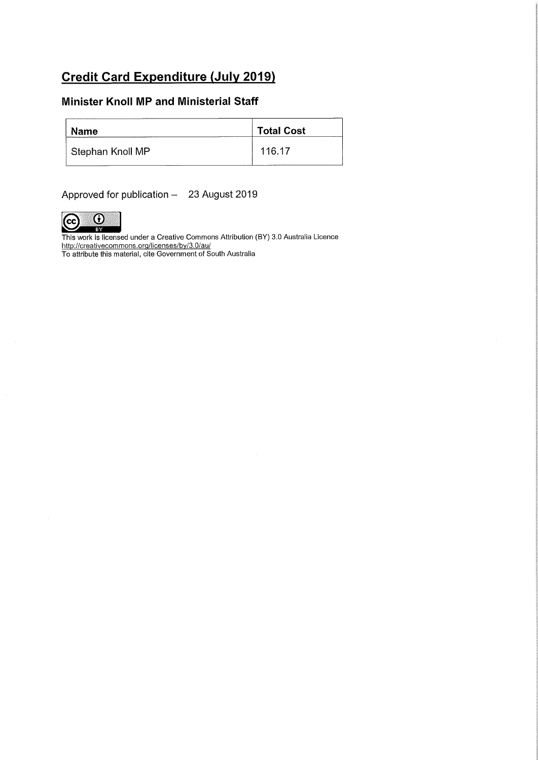# Credit Card Expenditure (July 2019)

### Minister Knoll MP and Ministerial Staff

| <b>Name</b>      | <b>Total Cost</b> |
|------------------|-------------------|
| Stephan Knoll MP | 116.17            |

Approved for publication - 23 August 2019



This work is licensed under a Creative Commons Attribution (BY) 3.0 Australia Licence http://creativecommons.org/licenses/by/3.0/au/

To attribute this material, cite Government of South Australia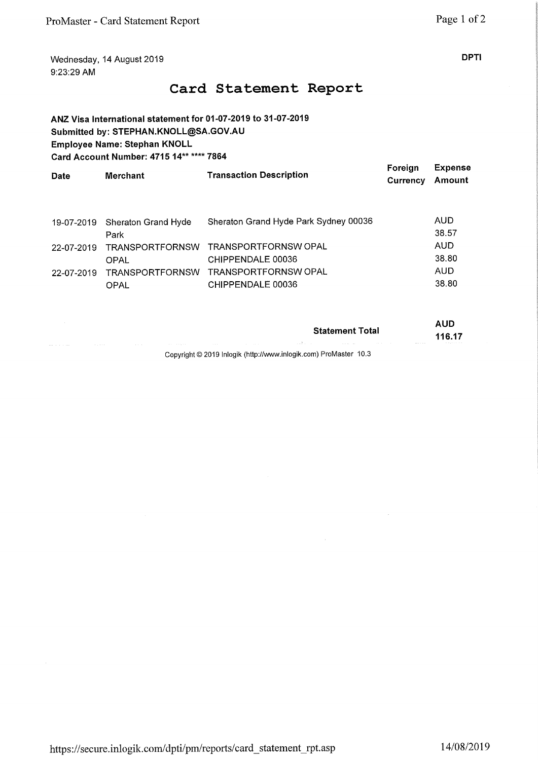Wednesday, 14 August 2019 **DPTI** 9:23:29 AM

# Card Statement Report

ANZ Visa International statement for 01-07-2019 to 31-07-2019 Submitted by: STEPHAN.KNOLL@SA.GOV.AU Employee Name: Stephan KNOLL Card Account Number: 4715 14\*\* \*\*\*\* 7864

| <b>Date</b> | <b>Merchant</b>        | <b>Transaction Description</b>        | Foreian<br>Currency | <b>Expense</b><br>Amount |
|-------------|------------------------|---------------------------------------|---------------------|--------------------------|
| 19-07-2019  | Sheraton Grand Hyde    | Sheraton Grand Hyde Park Sydney 00036 |                     | AUD                      |
|             | Park                   |                                       |                     | 38.57                    |
| 22-07-2019  | <b>TRANSPORTFORNSW</b> | <b>TRANSPORTFORNSW OPAL</b>           |                     | <b>AUD</b>               |
|             | OPAL                   | CHIPPENDALE 00036                     |                     | 38.80                    |
| 22-07-2019  | <b>TRANSPORTFORNSW</b> | TRANSPORTFORNSW OPAL                  |                     | AUD                      |
|             | <b>OPAL</b>            | CHIPPENDALE 00036                     |                     | 38.80                    |

|                                   |                  |             |                   |                          |            | <b>Statement Total</b>                                   |                |                                           |
|-----------------------------------|------------------|-------------|-------------------|--------------------------|------------|----------------------------------------------------------|----------------|-------------------------------------------|
| made the contract of the state of | the property and | the control | <b>Contractor</b> | <b>Contract Contract</b> | and a con- | contractors and the<br>the company's company's company's | and a strategy | 116.17<br>the state of the control of the |
|                                   |                  |             |                   |                          | .          | $\sqrt{2}$ $\sqrt{2}$                                    |                |                                           |

Copyright © 2019 Inlogik (http://www.inlogik.com) ProMaster 10.3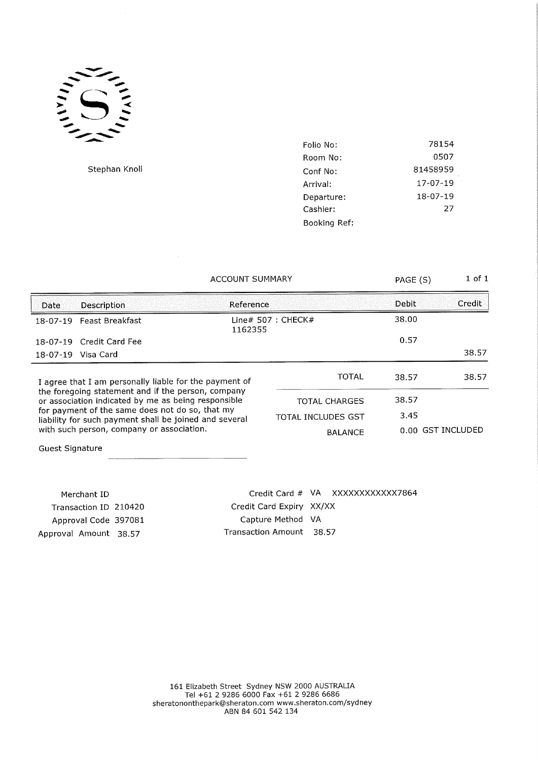

Stephan Knoll

| Folio No:    | 78154    |
|--------------|----------|
| Room No:     | 0507     |
| Conf No:     | 81458959 |
| Arrival:     | 17-07-19 |
| Departure:   | 18-07-19 |
| Cashier:     | 27       |
| Booking Ref: |          |

### ACCOUNT SUMMARY PAGE (S) 1 of 1

| Date                                                                                                                                                   | <b>Description</b>       | Reference          |                                | Debit             | Credit |
|--------------------------------------------------------------------------------------------------------------------------------------------------------|--------------------------|--------------------|--------------------------------|-------------------|--------|
|                                                                                                                                                        | 18-07-19 Feast Breakfast |                    | Line# $507:$ CHECK#<br>1162355 |                   |        |
|                                                                                                                                                        | 18-07-19 Credit Card Fee |                    |                                | 0.57              |        |
|                                                                                                                                                        | 18-07-19 Visa Card       |                    |                                |                   | 38.57  |
| I agree that I am personally liable for the payment of                                                                                                 |                          | <b>TOTAL</b>       | 38.57                          | 38.57             |        |
| the foregoing statement and if the person, company<br>or association indicated by me as being responsible                                              |                          |                    | <b>TOTAL CHARGES</b>           | 38.57             |        |
| for payment of the same does not do so, that my<br>liability for such payment shall be joined and several<br>with such person, company or association. |                          | TOTAL INCLUDES GST | 3.45                           |                   |        |
|                                                                                                                                                        |                          | <b>BALANCE</b>     |                                | 0.00 GST INCLUDED |        |

Guest Signature

| Merchant ID           |  |
|-----------------------|--|
| Transaction ID 210420 |  |
| Approval Code 397081  |  |
| Approval Amount 38.57 |  |

Credit Card # VA XXXXXXXXXXX7864 Credit Card Expiry XX/XX Capture Method VA Transaction Amount 38,57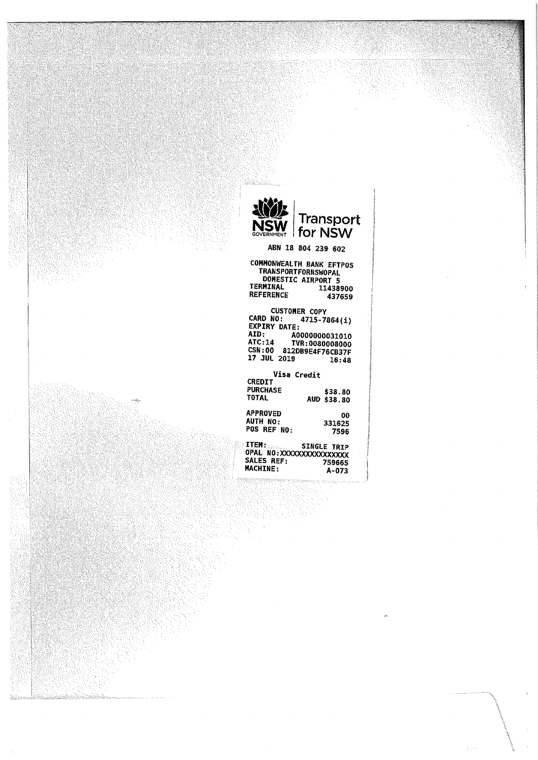

## ABN 18 804 239 602

#### COMMONWEALTH BANK EFTPOS TRANSPORTFORNSWOPAL DOHESTIC AIRPORT 5 11438900<br>437659 **REFERENCE**

CUSTOMER COPY<br>CARD NO: 4715-7864(1)<br>EXPIRY DATE: 40000000031010<br>AID: 40000000031010 ATC.-14 TVR:00800030o6 CSN:00 812DB9E4F76CB37F 17 JUL 2019 16:48

|                 | Visa Credit |
|-----------------|-------------|
| <b>CREDIT</b>   |             |
| <b>PURCHASE</b> | \$38.80     |
| <b>TOTAL</b>    | AUD \$38.80 |
| <b>APPROVED</b> | ٥o          |
| AUTH NO:        | 331625      |
| POS REF NO:     | 7596        |

ITEM: SINGLE TRIP<br>OPAL NO:XXXXXXXXXXXXXXXX<br>SALES REF: 759665<br>MACHINE: A-073

inist

alan kilikali malal

int name.